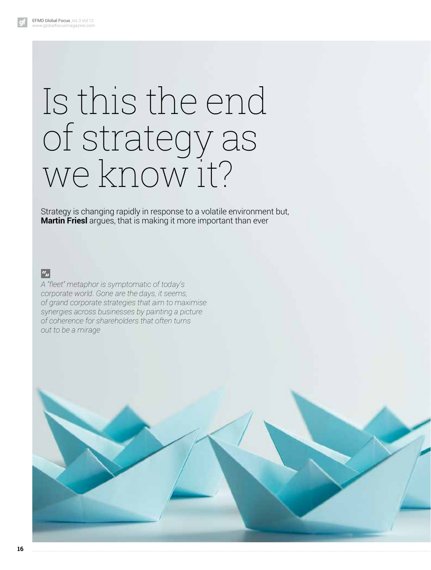# Is this the end of strategy as we know it?

Strategy is changing rapidly in response to a volatile environment but, **Martin Friesl** argues, that is making it more important than ever

 $\boxed{a_n}$ 

*A "fleet" metaphor is symptomatic of today's corporate world. Gone are the days, it seems, of grand corporate strategies that aim to maximise synergies across businesses by painting a picture of coherence for shareholders that often turns out to be a mirage*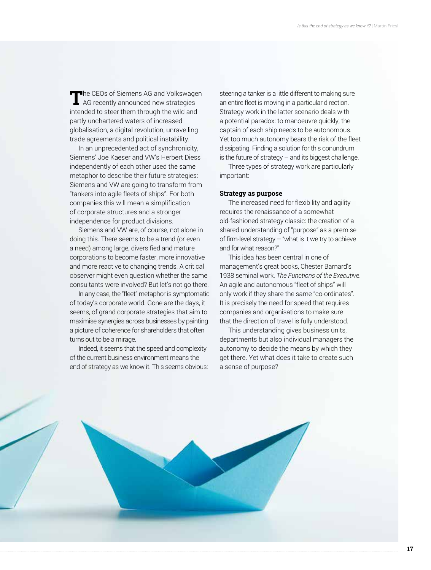**T**he CEOs of Siemens AG and Volkswagen<br>AG recently announced new strategies intended to steer them through the wild and partly unchartered waters of increased globalisation, a digital revolution, unravelling trade agreements and political instability.

In an unprecedented act of synchronicity, Siemens' Joe Kaeser and VW's Herbert Diess independently of each other used the same metaphor to describe their future strategies: Siemens and VW are going to transform from "tankers into agile fleets of ships". For both companies this will mean a simplification of corporate structures and a stronger independence for product divisions.

Siemens and VW are, of course, not alone in doing this. There seems to be a trend (or even a need) among large, diversified and mature corporations to become faster, more innovative and more reactive to changing trends. A critical observer might even question whether the same consultants were involved? But let's not go there.

In any case, the "fleet" metaphor is symptomatic of today's corporate world. Gone are the days, it seems, of grand corporate strategies that aim to maximise synergies across businesses by painting a picture of coherence for shareholders that often turns out to be a mirage.

Indeed, it seems that the speed and complexity of the current business environment means the end of strategy as we know it. This seems obvious: steering a tanker is a little different to making sure an entire fleet is moving in a particular direction. Strategy work in the latter scenario deals with a potential paradox: to manoeuvre quickly, the captain of each ship needs to be autonomous. Yet too much autonomy bears the risk of the fleet dissipating. Finding a solution for this conundrum is the future of strategy – and its biggest challenge.

Three types of strategy work are particularly important:

#### **Strategy as purpose**

The increased need for flexibility and agility requires the renaissance of a somewhat old-fashioned strategy classic: the creation of a shared understanding of "purpose" as a premise of firm-level strategy – "what is it we try to achieve and for what reason?"

This idea has been central in one of management's great books, Chester Barnard's 1938 seminal work, *The Functions of the Executiv*e. An agile and autonomous "fleet of ships" will only work if they share the same "co-ordinates". It is precisely the need for speed that requires companies and organisations to make sure that the direction of travel is fully understood.

This understanding gives business units, departments but also individual managers the autonomy to decide the means by which they get there. Yet what does it take to create such a sense of purpose?

**17**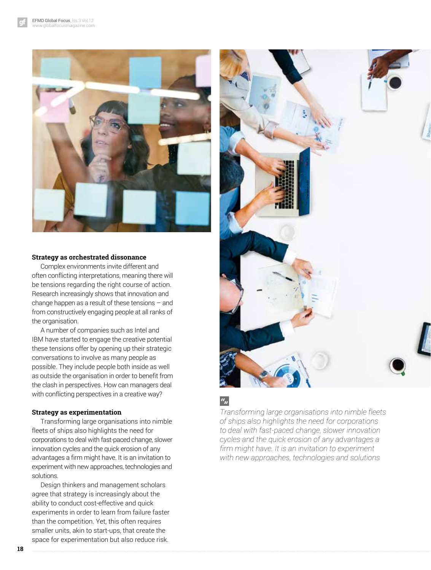

#### **Strategy as orchestrated dissonance**

Complex environments invite different and often conflicting interpretations, meaning there will be tensions regarding the right course of action. Research increasingly shows that innovation and change happen as a result of these tensions – and from constructively engaging people at all ranks of the organisation.

A number of companies such as Intel and IBM have started to engage the creative potential these tensions offer by opening up their strategic conversations to involve as many people as possible. They include people both inside as well as outside the organisation in order to benefit from the clash in perspectives. How can managers deal with conflicting perspectives in a creative way?

#### **Strategy as experimentation**

Transforming large organisations into nimble fleets of ships also highlights the need for corporations to deal with fast-paced change, slower innovation cycles and the quick erosion of any advantages a firm might have. It is an invitation to experiment with new approaches, technologies and solutions.

Design thinkers and management scholars agree that strategy is increasingly about the ability to conduct cost-effective and quick experiments in order to learn from failure faster than the competition. Yet, this often requires smaller units, akin to start-ups, that create the space for experimentation but also reduce risk.



## $a_{jj}$

*Transforming large organisations into nimble fleets of ships also highlights the need for corporations to deal with fast-paced change, slower innovation cycles and the quick erosion of any advantages a firm might have. It is an invitation to experiment with new approaches, technologies and solutions*